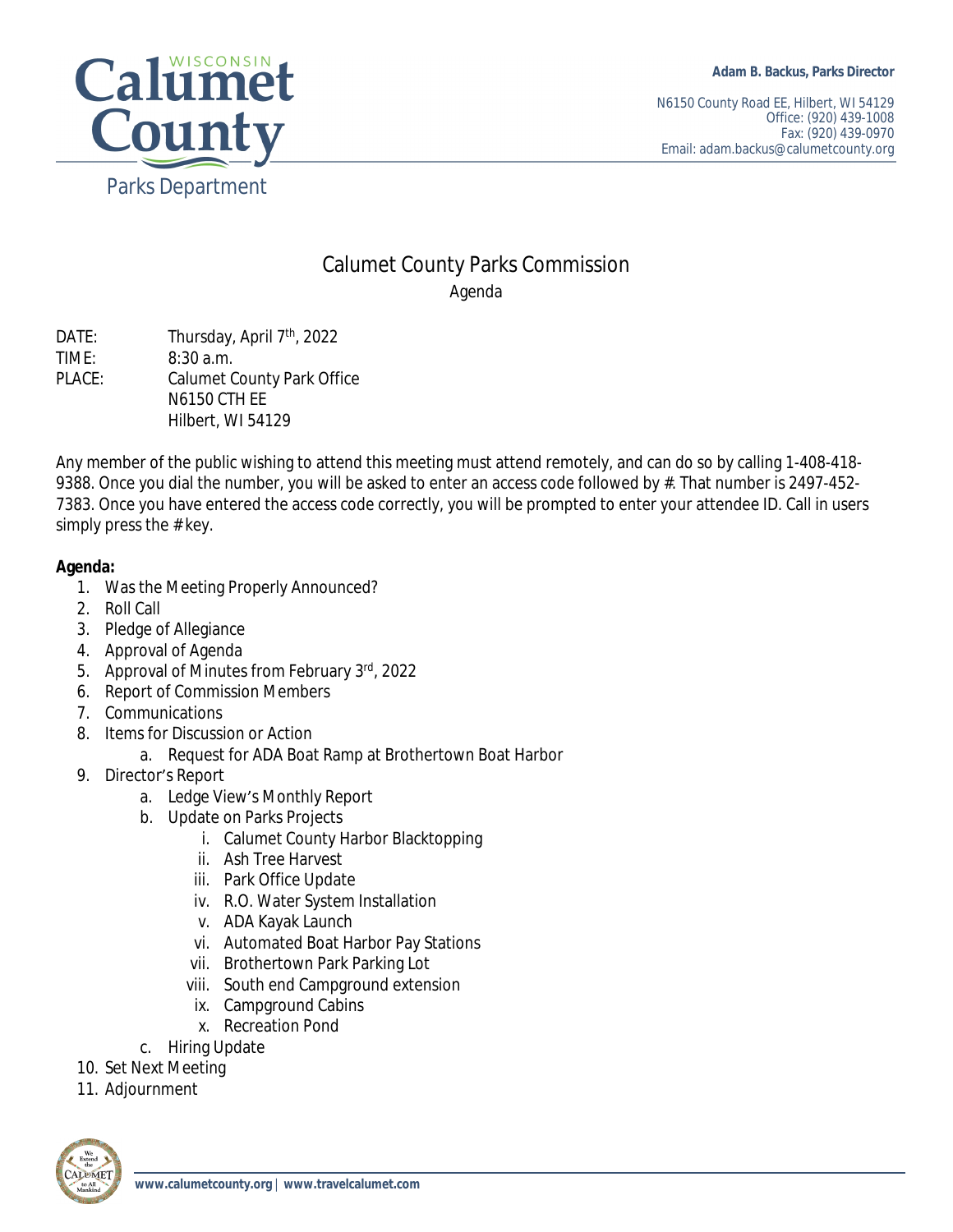

N6150 County Road EE, Hilbert, WI 54129 Office: (920) 439-1008 Fax: (920) 439-0970 Email: adam.backus@calumetcounty.org

## Calumet County Parks Commission Agenda

DATE: Thursday, April 7<sup>th</sup>, 2022 TIME: 8:30 a.m. PLACE: Calumet County Park Office N6150 CTH EE Hilbert, WI 54129

Any member of the public wishing to attend this meeting must attend remotely, and can do so by calling 1-408-418- 9388. Once you dial the number, you will be asked to enter an access code followed by #. That number is 2497-452-7383. Once you have entered the access code correctly, you will be prompted to enter your attendee ID. Call in users simply press the # key.

## **Agenda:**

- 1. Was the Meeting Properly Announced?
- 2. Roll Call
- 3. Pledge of Allegiance
- 4. Approval of Agenda
- 5. Approval of Minutes from February 3rd, 2022
- 6. Report of Commission Members
- 7. Communications
- 8. Items for Discussion or Action
	- a. Request for ADA Boat Ramp at Brothertown Boat Harbor
- 9. Director's Report
	- a. Ledge View's Monthly Report
	- b. Update on Parks Projects
		- i. Calumet County Harbor Blacktopping
		- ii. Ash Tree Harvest
		- iii. Park Office Update
		- iv. R.O. Water System Installation
		- v. ADA Kayak Launch
		- vi. Automated Boat Harbor Pay Stations
		- vii. Brothertown Park Parking Lot
		- viii. South end Campground extension
		- ix. Campground Cabins
		- x. Recreation Pond
	- c. Hiring Update
- 10. Set Next Meeting
- 11. Adjournment